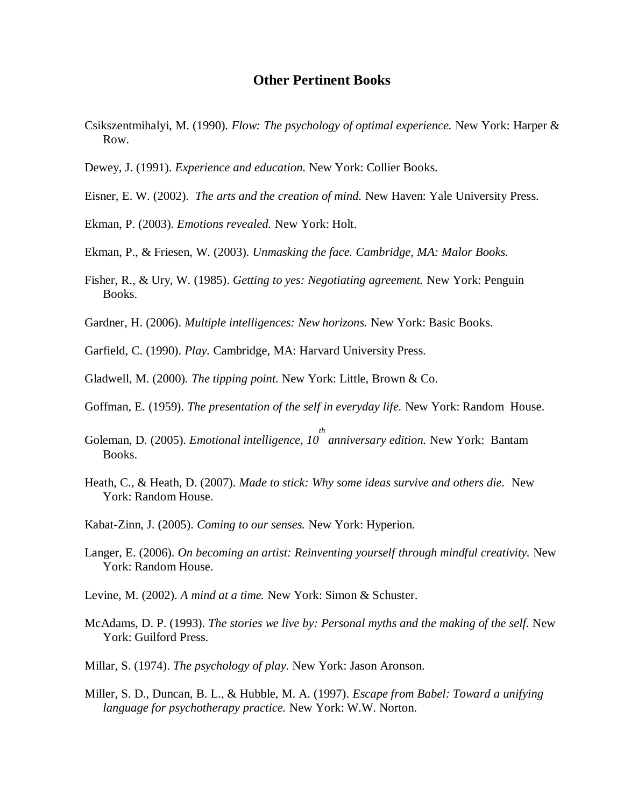## **Other Pertinent Books**

- Csikszentmihalyi, M. (1990). *Flow: The psychology of optimal experience.* New York: Harper & Row.
- Dewey, J. (1991). *Experience and education.* New York: Collier Books.
- Eisner, E. W. (2002). *The arts and the creation of mind.* New Haven: Yale University Press.
- Ekman, P. (2003). *Emotions revealed.* New York: Holt.
- Ekman, P., & Friesen, W. (2003). *Unmasking the face. Cambridge, MA: Malor Books.*
- Fisher, R., & Ury, W. (1985). *Getting to yes: Negotiating agreement.* New York: Penguin Books.
- Gardner, H. (2006). *Multiple intelligences: New horizons.* New York: Basic Books.
- Garfield, C. (1990). *Play.* Cambridge, MA: Harvard University Press.
- Gladwell, M. (2000). *The tipping point.* New York: Little, Brown & Co.
- Goffman, E. (1959). *The presentation of the self in everyday life.* New York: Random House.
- Goleman, D. (2005). *Emotional intelligence, 10 th anniversary edition.* New York: Bantam Books.
- Heath, C., & Heath, D. (2007). *Made to stick: Why some ideas survive and others die.* New York: Random House.
- Kabat-Zinn, J. (2005). *Coming to our senses.* New York: Hyperion.
- Langer, E. (2006). *On becoming an artist: Reinventing yourself through mindful creativity.* New York: Random House.
- Levine, M. (2002). *A mind at a time.* New York: Simon & Schuster.
- McAdams, D. P. (1993). *The stories we live by: Personal myths and the making of the self.* New York: Guilford Press.
- Millar, S. (1974). *The psychology of play.* New York: Jason Aronson.
- Miller, S. D., Duncan, B. L., & Hubble, M. A. (1997). *Escape from Babel: Toward a unifying language for psychotherapy practice.* New York: W.W. Norton.